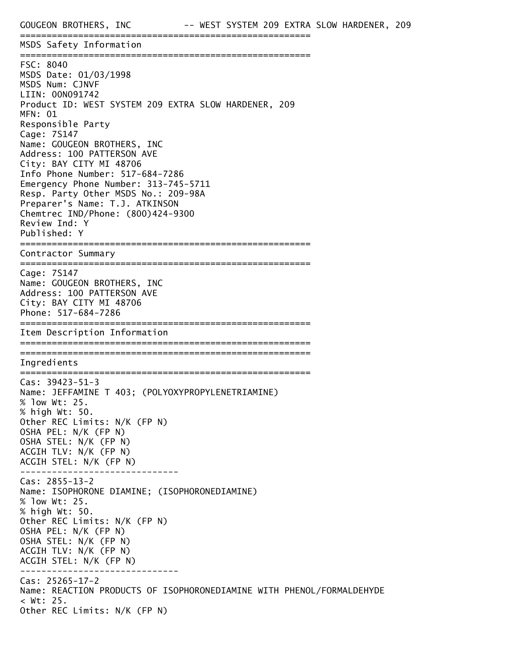MSDS Safety Information

======================================================= FSC: 8040 MSDS Date: 01/03/1998 MSDS Num: CJNVF LIIN: 00N091742 Product ID: WEST SYSTEM 209 EXTRA SLOW HARDENER, 209 MFN: 01 Responsible Party Cage: 7S147 Name: GOUGEON BROTHERS, INC Address: 100 PATTERSON AVE City: BAY CITY MI 48706 Info Phone Number: 517-684-7286 Emergency Phone Number: 313-745-5711 Resp. Party Other MSDS No.: 209-98A Preparer's Name: T.J. ATKINSON Chemtrec IND/Phone: (800)424-9300 Review Ind: Y Published: Y ======================================================= Contractor Summary ======================================================= Cage: 7S147 Name: GOUGEON BROTHERS, INC Address: 100 PATTERSON AVE City: BAY CITY MI 48706 Phone: 517-684-7286 ======================================================= Item Description Information ======================================================= ======================================================= Ingredients ======================================================= Cas: 39423-51-3 Name: JEFFAMINE T 403; (POLYOXYPROPYLENETRIAMINE) % low Wt: 25. % high Wt: 50. Other REC Limits: N/K (FP N) OSHA PEL: N/K (FP N) OSHA STEL: N/K (FP N) ACGIH TLV: N/K (FP N) ACGIH STEL: N/K (FP N) ------------------------------ Cas: 2855-13-2 Name: ISOPHORONE DIAMINE; (ISOPHORONEDIAMINE) % low Wt: 25. % high Wt: 50. Other REC Limits: N/K (FP N) OSHA PEL: N/K (FP N) OSHA STEL: N/K (FP N) ACGIH TLV: N/K (FP N) ACGIH STEL: N/K (FP N) ------------------------------ Cas: 25265-17-2 Name: REACTION PRODUCTS OF ISOPHORONEDIAMINE WITH PHENOL/FORMALDEHYDE < Wt: 25. Other REC Limits: N/K (FP N)

=======================================================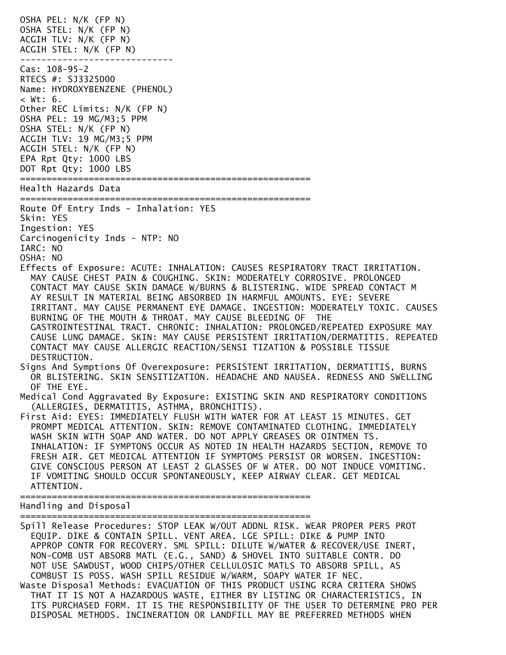OSHA PEL: N/K (FP N) OSHA STEL: N/K (FP N) ACGIH TLV: N/K (FP N) ACGIH STEL: N/K (FP N) ----------------------------- Cas: 108-95-2 RTECS #: SJ3325000 Name: HYDROXYBENZENE (PHENOL)  $< Wt$ : 6. Other REC Limits: N/K (FP N) OSHA PEL: 19 MG/M3;5 PPM OSHA STEL: N/K (FP N) ACGIH TLV: 19 MG/M3;5 PPM ACGIH STEL: N/K (FP N) EPA Rpt Qty: 1000 LBS DOT Rpt Qty: 1000 LBS ======================================================= Health Hazards Data ======================================================= Route Of Entry Inds - Inhalation: YES Skin: YES Ingestion: YES Carcinogenicity Inds - NTP: NO IARC: NO OSHA: NO Effects of Exposure: ACUTE: INHALATION: CAUSES RESPIRATORY TRACT IRRITATION. MAY CAUSE CHEST PAIN & COUGHING. SKIN: MODERATELY CORROSIVE. PROLONGED CONTACT MAY CAUSE SKIN DAMAGE W/BURNS & BLISTERING. WIDE SPREAD CONTACT M AY RESULT IN MATERIAL BEING ABSORBED IN HARMFUL AMOUNTS. EYE: SEVERE IRRITANT. MAY CAUSE PERMANENT EYE DAMAGE. INGESTION: MODERATELY TOXIC. CAUSES BURNING OF THE MOUTH & THROAT. MAY CAUSE BLEEDING OF THE GASTROINTESTINAL TRACT. CHRONIC: INHALATION: PROLONGED/REPEATED EXPOSURE MAY CAUSE LUNG DAMAGE. SKIN: MAY CAUSE PERSISTENT IRRITATION/DERMATITIS. REPEATED CONTACT MAY CAUSE ALLERGIC REACTION/SENSI TIZATION & POSSIBLE TISSUE DESTRUCTION. Signs And Symptions Of Overexposure: PERSISTENT IRRITATION, DERMATITIS, BURNS OR BLISTERING. SKIN SENSITIZATION. HEADACHE AND NAUSEA. REDNESS AND SWELLING OF THE EYE. Medical Cond Aggravated By Exposure: EXISTING SKIN AND RESPIRATORY CONDITIONS (ALLERGIES, DERMATITIS, ASTHMA, BRONCHITIS). First Aid: EYES: IMMEDIATELY FLUSH WITH WATER FOR AT LEAST 15 MINUTES. GET PROMPT MEDICAL ATTENTION. SKIN: REMOVE CONTAMINATED CLOTHING. IMMEDIATELY WASH SKIN WITH SOAP AND WATER. DO NOT APPLY GREASES OR OINTMEN TS. INHALATION: IF SYMPTONS OCCUR AS NOTED IN HEALTH HAZARDS SECTION, REMOVE TO FRESH AIR. GET MEDICAL ATTENTION IF SYMPTOMS PERSIST OR WORSEN. INGESTION: GIVE CONSCIOUS PERSON AT LEAST 2 GLASSES OF W ATER. DO NOT INDUCE VOMITING. IF VOMITING SHOULD OCCUR SPONTANEOUSLY, KEEP AIRWAY CLEAR. GET MEDICAL ATTENTION. ======================================================= Handling and Disposal ======================================================= Spill Release Procedures: STOP LEAK W/OUT ADDNL RISK. WEAR PROPER PERS PROT EQUIP. DIKE & CONTAIN SPILL. VENT AREA. LGE SPILL: DIKE & PUMP INTO APPROP CONTR FOR RECOVERY. SML SPILL: DILUTE W/WATER & RECOVER/USE INERT,

 NON-COMB UST ABSORB MATL (E.G., SAND) & SHOVEL INTO SUITABLE CONTR. DO NOT USE SAWDUST, WOOD CHIPS/OTHER CELLULOSIC MATLS TO ABSORB SPILL, AS COMBUST IS POSS. WASH SPILL RESIDUE W/WARM, SOAPY WATER IF NEC. Waste Disposal Methods: EVACUATION OF THIS PRODUCT USING RCRA CRITERA SHOWS THAT IT IS NOT A HAZARDOUS WASTE, EITHER BY LISTING OR CHARACTERISTICS, IN ITS PURCHASED FORM. IT IS THE RESPONSIBILITY OF THE USER TO DETERMINE PRO PER DISPOSAL METHODS. INCINERATION OR LANDFILL MAY BE PREFERRED METHODS WHEN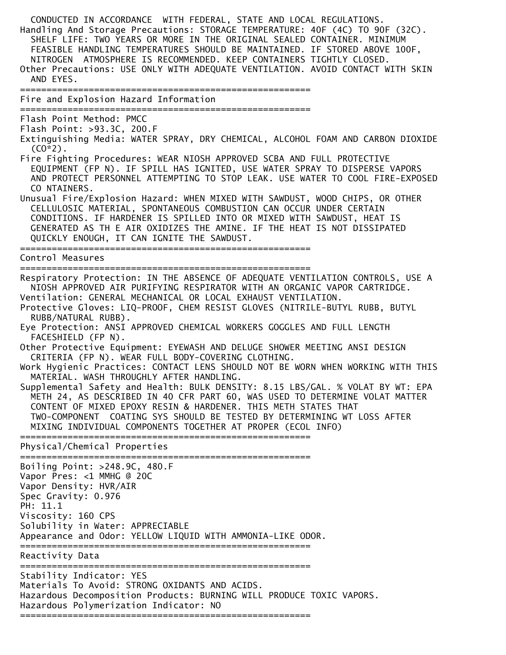CONDUCTED IN ACCORDANCE WITH FEDERAL, STATE AND LOCAL REGULATIONS. Handling And Storage Precautions: STORAGE TEMPERATURE: 40F (4C) TO 90F (32C). SHELF LIFE: TWO YEARS OR MORE IN THE ORIGINAL SEALED CONTAINER. MINIMUM FEASIBLE HANDLING TEMPERATURES SHOULD BE MAINTAINED. IF STORED ABOVE 100F, NITROGEN ATMOSPHERE IS RECOMMENDED. KEEP CONTAINERS TIGHTLY CLOSED. Other Precautions: USE ONLY WITH ADEQUATE VENTILATION. AVOID CONTACT WITH SKIN AND EYES. ======================================================= Fire and Explosion Hazard Information ======================================================= Flash Point Method: PMCC Flash Point: >93.3C, 200.F Extinguishing Media: WATER SPRAY, DRY CHEMICAL, ALCOHOL FOAM AND CARBON DIOXIDE  $(C0*2)$ . Fire Fighting Procedures: WEAR NIOSH APPROVED SCBA AND FULL PROTECTIVE EQUIPMENT (FP N). IF SPILL HAS IGNITED, USE WATER SPRAY TO DISPERSE VAPORS AND PROTECT PERSONNEL ATTEMPTING TO STOP LEAK. USE WATER TO COOL FIRE-EXPOSED CO NTAINERS. Unusual Fire/Explosion Hazard: WHEN MIXED WITH SAWDUST, WOOD CHIPS, OR OTHER CELLULOSIC MATERIAL, SPONTANEOUS COMBUSTION CAN OCCUR UNDER CERTAIN CONDITIONS. IF HARDENER IS SPILLED INTO OR MIXED WITH SAWDUST, HEAT IS GENERATED AS TH E AIR OXIDIZES THE AMINE. IF THE HEAT IS NOT DISSIPATED QUICKLY ENOUGH, IT CAN IGNITE THE SAWDUST. ======================================================= Control Measures ======================================================= Respiratory Protection: IN THE ABSENCE OF ADEQUATE VENTILATION CONTROLS, USE A NIOSH APPROVED AIR PURIFYING RESPIRATOR WITH AN ORGANIC VAPOR CARTRIDGE. Ventilation: GENERAL MECHANICAL OR LOCAL EXHAUST VENTILATION. Protective Gloves: LIQ-PROOF, CHEM RESIST GLOVES (NITRILE-BUTYL RUBB, BUTYL RUBB/NATURAL RUBB). Eye Protection: ANSI APPROVED CHEMICAL WORKERS GOGGLES AND FULL LENGTH FACESHIELD (FP N). Other Protective Equipment: EYEWASH AND DELUGE SHOWER MEETING ANSI DESIGN CRITERIA (FP N). WEAR FULL BODY-COVERING CLOTHING. Work Hygienic Practices: CONTACT LENS SHOULD NOT BE WORN WHEN WORKING WITH THIS MATERIAL. WASH THROUGHLY AFTER HANDLING. Supplemental Safety and Health: BULK DENSITY: 8.15 LBS/GAL. % VOLAT BY WT: EPA METH 24, AS DESCRIBED IN 40 CFR PART 60, WAS USED TO DETERMINE VOLAT MATTER CONTENT OF MIXED EPOXY RESIN & HARDENER. THIS METH STATES THAT TWO-COMPONENT COATING SYS SHOULD BE TESTED BY DETERMINING WT LOSS AFTER MIXING INDIVIDUAL COMPONENTS TOGETHER AT PROPER (ECOL INFO) ======================================================= Physical/Chemical Properties ======================================================= Boiling Point: >248.9C, 480.F Vapor Pres: <1 MMHG @ 20C Vapor Density: HVR/AIR Spec Gravity: 0.976 PH: 11.1 Viscosity: 160 CPS Solubility in Water: APPRECIABLE Appearance and Odor: YELLOW LIQUID WITH AMMONIA-LIKE ODOR. ======================================================= Reactivity Data ======================================================= Stability Indicator: YES Materials To Avoid: STRONG OXIDANTS AND ACIDS. Hazardous Decomposition Products: BURNING WILL PRODUCE TOXIC VAPORS. Hazardous Polymerization Indicator: NO =======================================================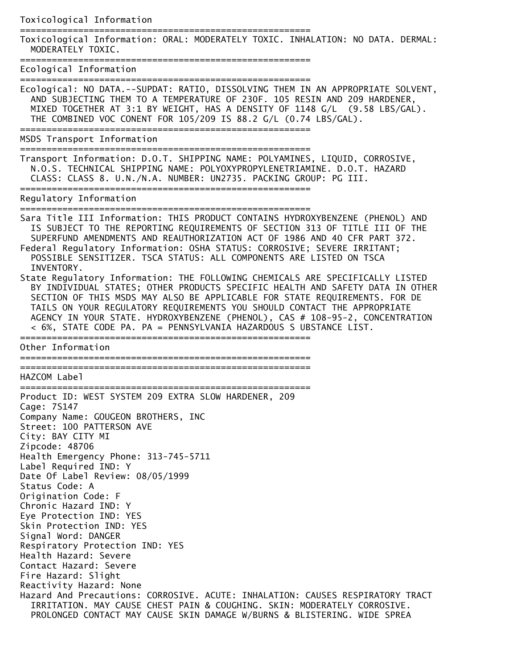Toxicological Information

=======================================================

Toxicological Information: ORAL: MODERATELY TOXIC. INHALATION: NO DATA. DERMAL: MODERATELY TOXIC.

=======================================================

Ecological Information =======================================================

Ecological: NO DATA.--SUPDAT: RATIO, DISSOLVING THEM IN AN APPROPRIATE SOLVENT, AND SUBJECTING THEM TO A TEMPERATURE OF 230F. 105 RESIN AND 209 HARDENER, MIXED TOGETHER AT 3:1 BY WEIGHT, HAS A DENSITY OF 1148 G/L (9.58 LBS/GAL). THE COMBINED VOC CONENT FOR 105/209 IS 88.2 G/L (0.74 LBS/GAL).

=======================================================

MSDS Transport Information

=======================================================

Transport Information: D.O.T. SHIPPING NAME: POLYAMINES, LIQUID, CORROSIVE, N.O.S. TECHNICAL SHIPPING NAME: POLYOXYPROPYLENETRIAMINE. D.O.T. HAZARD CLASS: CLASS 8. U.N./N.A. NUMBER: UN2735. PACKING GROUP: PG III. =======================================================

Regulatory Information

=======================================================

Sara Title III Information: THIS PRODUCT CONTAINS HYDROXYBENZENE (PHENOL) AND IS SUBJECT TO THE REPORTING REQUIREMENTS OF SECTION 313 OF TITLE III OF THE SUPERFUND AMENDMENTS AND REAUTHORIZATION ACT OF 1986 AND 40 CFR PART 372. Federal Regulatory Information: OSHA STATUS: CORROSIVE; SEVERE IRRITANT; POSSIBLE SENSITIZER. TSCA STATUS: ALL COMPONENTS ARE LISTED ON TSCA INVENTORY.

State Regulatory Information: THE FOLLOWING CHEMICALS ARE SPECIFICALLY LISTED BY INDIVIDUAL STATES; OTHER PRODUCTS SPECIFIC HEALTH AND SAFETY DATA IN OTHER SECTION OF THIS MSDS MAY ALSO BE APPLICABLE FOR STATE REQUIREMENTS. FOR DE TAILS ON YOUR REGULATORY REQUIREMENTS YOU SHOULD CONTACT THE APPROPRIATE AGENCY IN YOUR STATE. HYDROXYBENZENE (PHENOL), CAS # 108-95-2, CONCENTRATION < 6%, STATE CODE PA. PA = PENNSYLVANIA HAZARDOUS S UBSTANCE LIST. =======================================================

Other Information

=======================================================

=======================================================

=======================================================

HAZCOM Label

Product ID: WEST SYSTEM 209 EXTRA SLOW HARDENER, 209 Cage: 7S147 Company Name: GOUGEON BROTHERS, INC Street: 100 PATTERSON AVE City: BAY CITY MI Zipcode: 48706 Health Emergency Phone: 313-745-5711 Label Required IND: Y Date Of Label Review: 08/05/1999 Status Code: A Origination Code: F Chronic Hazard IND: Y Eye Protection IND: YES Skin Protection IND: YES Signal Word: DANGER Respiratory Protection IND: YES Health Hazard: Severe Contact Hazard: Severe Fire Hazard: Slight Reactivity Hazard: None Hazard And Precautions: CORROSIVE. ACUTE: INHALATION: CAUSES RESPIRATORY TRACT IRRITATION. MAY CAUSE CHEST PAIN & COUGHING. SKIN: MODERATELY CORROSIVE. PROLONGED CONTACT MAY CAUSE SKIN DAMAGE W/BURNS & BLISTERING. WIDE SPREA